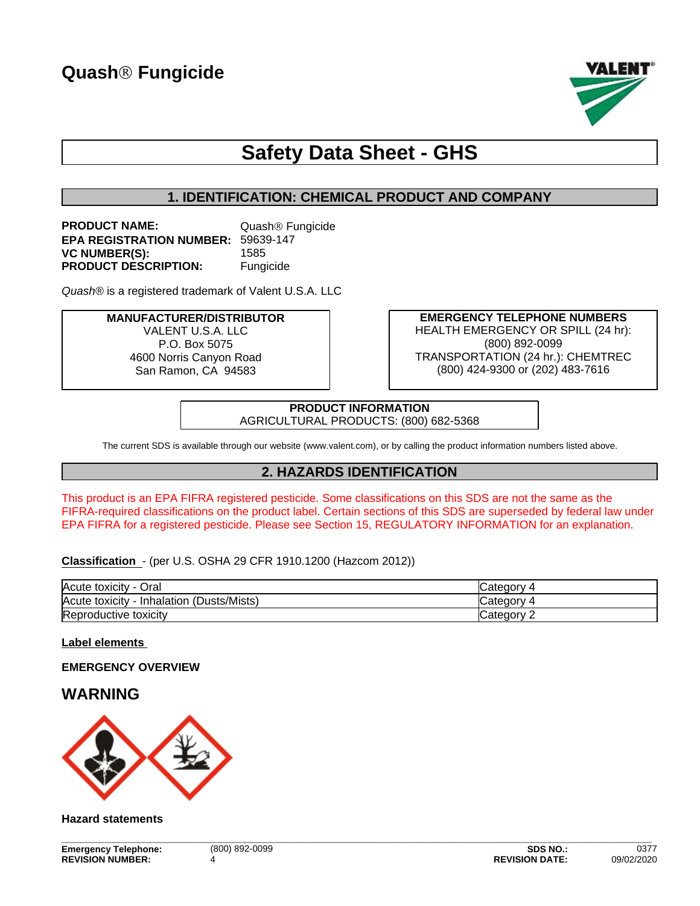

# **Safety Data Sheet - GHS**

# **1. IDENTIFICATION: CHEMICAL PRODUCT AND COMPANY**

| <b>PRODUCT NAME:</b>                      | Quash <sup>®</sup> Fungicide |
|-------------------------------------------|------------------------------|
| <b>EPA REGISTRATION NUMBER: 59639-147</b> |                              |
| <b>VC NUMBER(S):</b>                      | 1585                         |
| <b>PRODUCT DESCRIPTION:</b>               | Fungicide                    |

Quash<sup>®</sup> is a registered trademark of Valent U.S.A. LLC

#### **MANUFACTURER/DISTRIBUTOR** VALENT U.S.A. LLC P.O. Box 5075 4600 Norris Canyon Road San Ramon, CA 94583

**EMERGENCY TELEPHONE NUMBERS** HEALTH EMERGENCY OR SPILL (24 hr): (800) 892-0099 TRANSPORTATION (24 hr.): CHEMTREC (800) 424-9300 or (202) 483-7616

**PRODUCT INFORMATION** AGRICULTURAL PRODUCTS: (800) 682-5368

The current SDS is available through our website (www.valent.com), or by calling the product information numbers listed above.

# **2. HAZARDS IDENTIFICATION**

This product is an EPA FIFRA registered pesticide. Some classifications on this SDS are not the same as the FIFRA-required classifications on the product label. Certain sections of this SDS are superseded by federal law under EPA FIFRA for a registered pesticide. Please see Section 15, REGULATORY INFORMATION for an explanation.

#### **Classification** - (per U.S. OSHA 29 CFR 1910.1200 (Hazcom 2012))

| Acute toxicity - Oral                         | Categorv      |
|-----------------------------------------------|---------------|
| (Dusts/Mists)<br>Acute toxicity<br>Inhalation | Category      |
| Reproductive toxicity                         | Category<br>∼ |

#### **Label elements**

#### **EMERGENCY OVERVIEW**

# **WARNING**



#### **Hazard statements**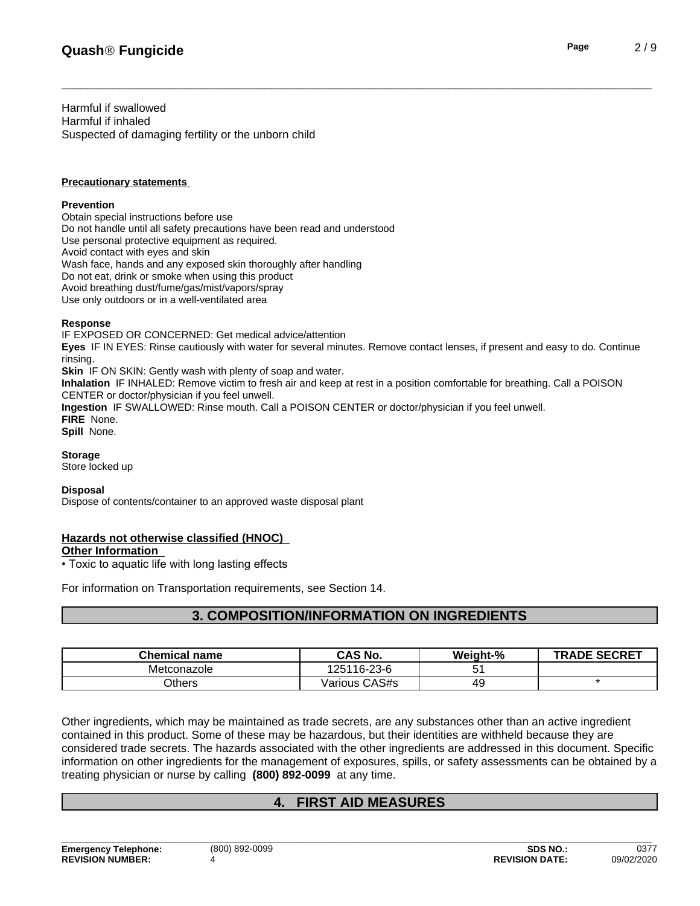Harmful if swallowed Harmful if inhaled Suspected of damaging fertility or the unborn child

#### **Precautionary statements**

#### **Prevention**

Obtain special instructions before use Do not handle until all safety precautions have been read and understood Use personal protective equipment as required.<br>Avoid contact with eyes and skin Wash face, hands and any exposed skin thoroughly after handling Do not eat, drink or smoke when using this product Avoid breathing dust/fume/gas/mist/vapors/spray Use only outdoors or in a well-ventilated area

#### **Response**

IF EXPOSED OR CONCERNED: Get medical advice/attention **Eyes** IF IN EYES: Rinse cautiously with water for several minutes. Remove contact lenses, if present and easy to do. Continue

rinsing. **Skin** IF ON SKIN: Gently wash with plenty of soap and water.

**Inhalation** IF INHALED: Remove victim to fresh air and keep at rest in a position comfortable for breathing. Call a POISON CENTER or doctor/physician if you feel unwell.

**Ingestion** IF SWALLOWED: Rinse mouth. Call a POISON CENTER or doctor/physician if you feel unwell.

**FIRE** None.

**Spill** None.

#### **Storage**

Store locked up

#### **Disposal**

Dispose of contents/container to an approved waste disposal plant

#### **Hazards not otherwise classified (HNOC) Other Information**

• Toxic to aquatic life with long lasting effects

For information on Transportation requirements, see Section 14.

# **3. COMPOSITION/INFORMATION ON INGREDIENTS**

| Chemical<br>name | <b>CAS No.</b>   | Weight-% | <b>SECRET</b><br><b>TRADE</b> |
|------------------|------------------|----------|-------------------------------|
| Metconazole      | 125116-23-6      |          |                               |
| Others           | CAS#s<br>/arious | ு⊤       |                               |

Other ingredients, which may be maintained as trade secrets, are any substances other than an active ingredient contained in this product. Some of these may be hazardous, but their identities are withheld because they are considered trade secrets. The hazards associated with the otheringredients are addressed in this document. Specific information on other ingredients for the management of exposures, spills, or safety assessments can be obtained by a treating physician or nurse by calling **(800) 892-0099** at any time.

# **4. FIRST AID MEASURES**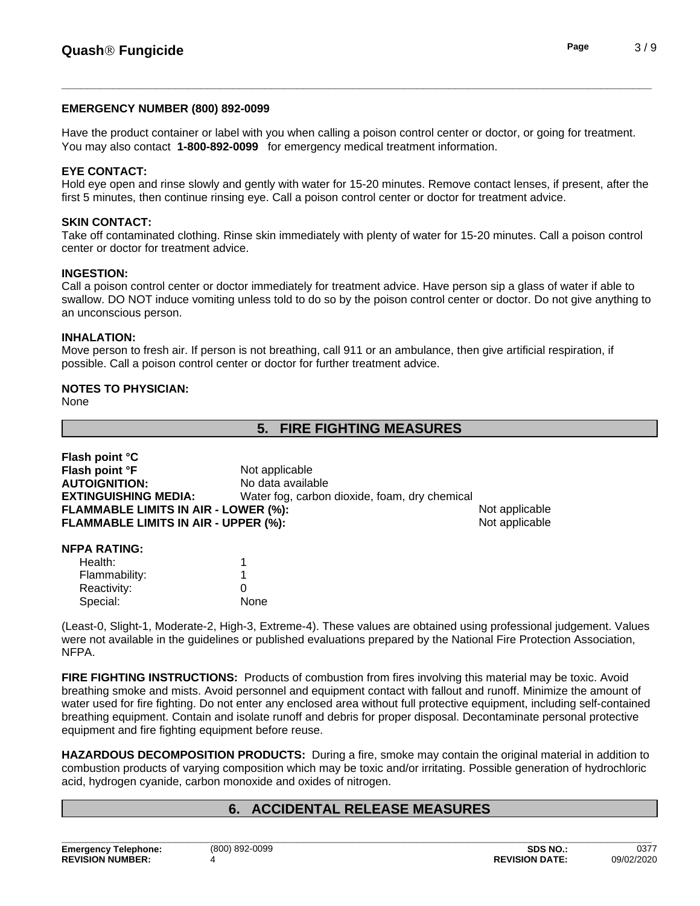#### **EMERGENCY NUMBER (800) 892-0099**

Have the product container or label with you when calling a poison control center or doctor, or going for treatment. You may also contact **1-800-892-0099** for emergency medical treatment information.

#### **EYE CONTACT:**

Hold eye open and rinse slowly and gently with water for 15-20 minutes. Remove contact lenses, if present, after the first 5 minutes, then continue rinsing eye. Call a poison control center or doctor for treatment advice.

#### **SKIN CONTACT:**

Take off contaminated clothing. Rinse skin immediately with plenty of water for 15-20 minutes. Call a poison control center or doctor for treatment advice.

#### **INGESTION:**

Call a poison control center or doctor immediately for treatment advice. Have person sip a glass of water if able to swallow. DO NOT induce vomiting unless told to do so by the poison control center or doctor. Do not give anything to an unconscious person.

#### **INHALATION:**

**Flash point °C**

Move person to fresh air.If person is not breathing, call 911 or an ambulance, then give artificial respiration, if possible. Call a poison control center or doctor for further treatment advice.

#### **NOTES TO PHYSICIAN:**

None

# **5. FIRE FIGHTING MEASURES**

| <b>FIASH DUILL U</b>                        |                                               |                |  |
|---------------------------------------------|-----------------------------------------------|----------------|--|
| Flash point °F                              | Not applicable                                |                |  |
| <b>AUTOIGNITION:</b>                        | No data available                             |                |  |
| <b>EXTINGUISHING MEDIA:</b>                 | Water fog, carbon dioxide, foam, dry chemical |                |  |
| <b>FLAMMABLE LIMITS IN AIR - LOWER (%):</b> |                                               | Not applicable |  |
| FLAMMABLE LIMITS IN AIR - UPPER (%):        |                                               | Not applicable |  |
| <b>NFPA RATING:</b>                         |                                               |                |  |
| Health:                                     |                                               |                |  |
| Flammability:                               |                                               |                |  |
| Reactivity:                                 | 0                                             |                |  |
| Special:                                    | None                                          |                |  |

(Least-0, Slight-1, Moderate-2, High-3, Extreme-4). These values are obtained using professional judgement. Values were not available in the guidelines or published evaluations prepared by the National Fire Protection Association, NFPA.

**FIRE FIGHTING INSTRUCTIONS:** Products of combustion from fires involving this material may be toxic. Avoid breathing smoke and mists. Avoid personnel and equipment contact with fallout and runoff. Minimize the amount of water used for fire fighting. Do not enter any enclosed area without full protective equipment, including self-contained breathing equipment. Contain and isolate runoff and debris for proper disposal. Decontaminate personal protective equipment and fire fighting equipment before reuse.

**HAZARDOUS DECOMPOSITION PRODUCTS:** During a fire, smoke may contain the original material in addition to combustion products of varying composition which may be toxic and/or irritating. Possible generation of hydrochloric acid, hydrogen cyanide, carbon monoxide and oxides of nitrogen.

# **6. ACCIDENTAL RELEASE MEASURES**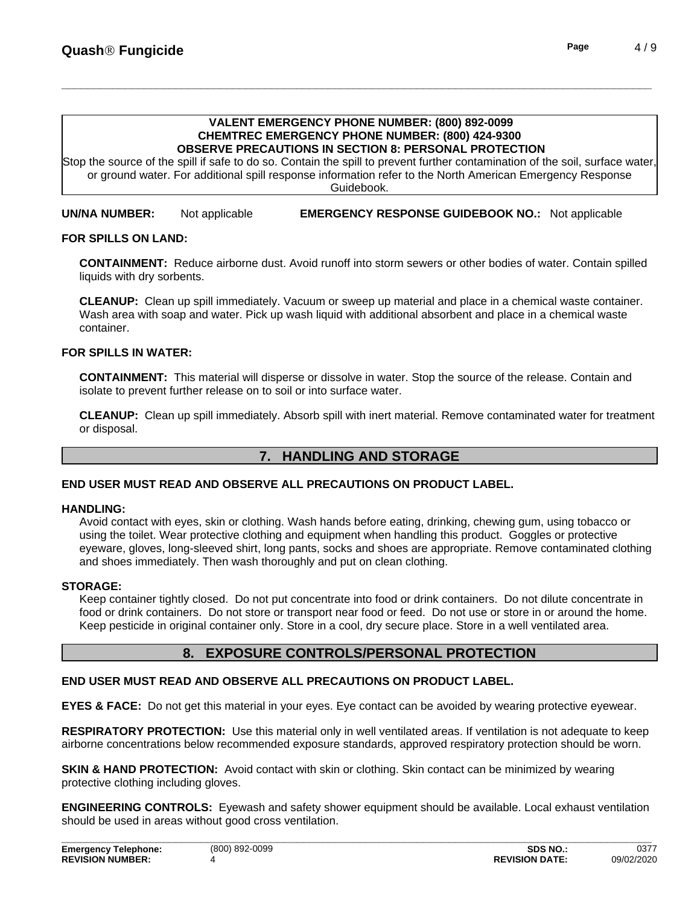#### **VALENT EMERGENCY PHONE NUMBER: (800) 892-0099 CHEMTREC EMERGENCY PHONE NUMBER: (800) 424-9300 OBSERVE PRECAUTIONS IN SECTION 8: PERSONAL PROTECTION**

Stop the source of the spill if safe to do so. Contain the spill to prevent further contamination of the soil, surface water, or ground water. For additional spill response information refer to the North American Emergency Response Guidebook.

**UN/NA NUMBER:** Not applicable **EMERGENCY RESPONSE GUIDEBOOK NO.:** Not applicable

#### **FOR SPILLS ON LAND:**

**CONTAINMENT:** Reduce airborne dust. Avoid runoff into storm sewers or other bodies of water. Contain spilled liquids with dry sorbents.

**CLEANUP:** Clean up spill immediately. Vacuum or sweep up material and place in a chemical waste container. Wash area with soap and water. Pick up wash liquid with additional absorbent and place in a chemical waste container.

#### **FOR SPILLS IN WATER:**

**CONTAINMENT:** This material will disperse or dissolve in water. Stop the source of the release. Contain and isolate to prevent further release on to soil or into surface water.

**CLEANUP:** Clean up spill immediately. Absorb spill with inert material. Remove contaminated water for treatment or disposal.

# **7. HANDLING AND STORAGE**

#### **END USER MUST READ AND OBSERVE ALL PRECAUTIONS ON PRODUCT LABEL.**

#### **HANDLING:**

Avoid contact with eyes, skin or clothing. Wash hands before eating, drinking, chewing gum, using tobacco or using the toilet. Wear protective clothing and equipment when handling this product. Goggles or protective eyeware, gloves, long-sleeved shirt, long pants, socks and shoes are appropriate. Remove contaminated clothing and shoes immediately. Then wash thoroughly and put on clean clothing.

#### **STORAGE:**

Keep container tightly closed. Do not put concentrate into food or drink containers. Do not dilute concentrate in food or drink containers. Do not store or transport near food or feed. Do not use or store in or around the home. Keep pesticide in original container only. Store in a cool, dry secure place. Store in a well ventilated area.

# **8. EXPOSURE CONTROLS/PERSONAL PROTECTION**

#### **END USER MUST READ AND OBSERVE ALL PRECAUTIONS ON PRODUCT LABEL.**

**EYES & FACE:** Do not get this material in your eyes. Eye contact can be avoided by wearing protective eyewear.

**RESPIRATORY PROTECTION:** Use this material only in well ventilated areas. If ventilation is not adequate to keep airborne concentrations below recommended exposure standards, approved respiratory protection should be worn.

**SKIN & HAND PROTECTION:** Avoid contact with skin or clothing. Skin contact can be minimized by wearing protective clothing including gloves.

**ENGINEERING CONTROLS:** Eyewash and safety shower equipment should be available. Local exhaust ventilation should be used in areas without good cross ventilation.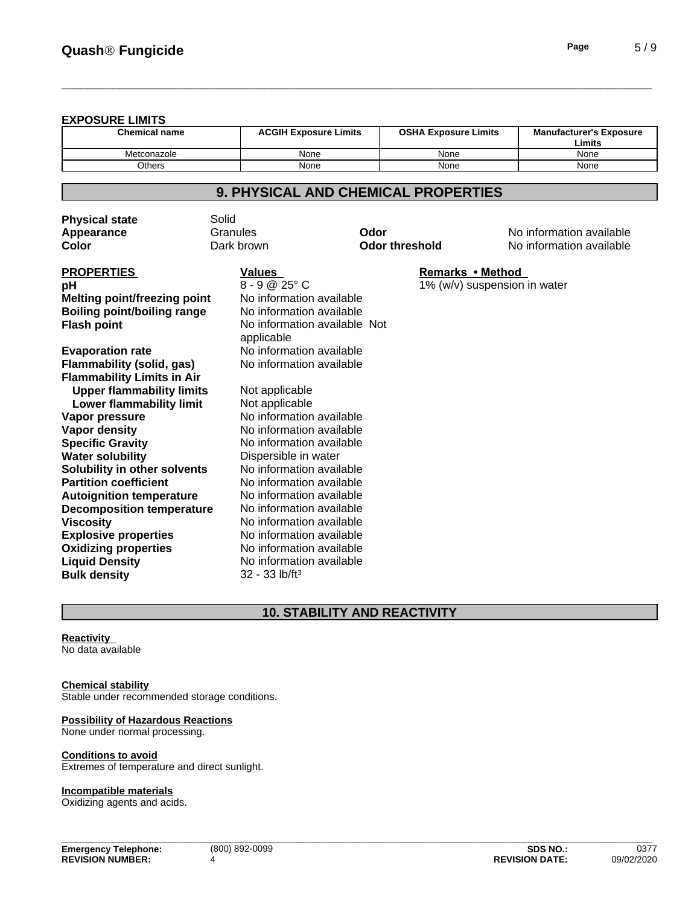#### **EXPOSURE LIMITS**

| <b>Chemical name</b> | <b>ACGIH Exposure Limits</b> | <b>OSHA Exposure Limits</b> | <b>Manufacturer's Exposure</b><br>Limits |
|----------------------|------------------------------|-----------------------------|------------------------------------------|
| Metconazole          | None                         | None                        | None                                     |
| Others               | None                         | None                        | None                                     |

# **9. PHYSICAL AND CHEMICAL PROPERTIES**

| <b>Physical state</b>               | Solid                        |                       |                              |                          |
|-------------------------------------|------------------------------|-----------------------|------------------------------|--------------------------|
| Appearance                          | Granules                     | Odor                  |                              | No information available |
| Color                               | Dark brown                   | <b>Odor threshold</b> |                              | No information available |
| <b>PROPERTIES</b>                   | <b>Values</b>                |                       | Remarks • Method             |                          |
| рH                                  | $8 - 9 @ 25° C$              |                       | 1% (w/v) suspension in water |                          |
| <b>Melting point/freezing point</b> | No information available     |                       |                              |                          |
| <b>Boiling point/boiling range</b>  | No information available     |                       |                              |                          |
| <b>Flash point</b>                  | No information available Not |                       |                              |                          |
|                                     | applicable                   |                       |                              |                          |
| <b>Evaporation rate</b>             | No information available     |                       |                              |                          |
| <b>Flammability (solid, gas)</b>    | No information available     |                       |                              |                          |
| <b>Flammability Limits in Air</b>   |                              |                       |                              |                          |
| <b>Upper flammability limits</b>    | Not applicable               |                       |                              |                          |
| Lower flammability limit            | Not applicable               |                       |                              |                          |
| Vapor pressure                      | No information available     |                       |                              |                          |
| Vapor density                       | No information available     |                       |                              |                          |
| <b>Specific Gravity</b>             | No information available     |                       |                              |                          |
| <b>Water solubility</b>             | Dispersible in water         |                       |                              |                          |
| Solubility in other solvents        | No information available     |                       |                              |                          |
| <b>Partition coefficient</b>        | No information available     |                       |                              |                          |
| <b>Autoignition temperature</b>     | No information available     |                       |                              |                          |
| <b>Decomposition temperature</b>    | No information available     |                       |                              |                          |
| <b>Viscosity</b>                    | No information available     |                       |                              |                          |
| <b>Explosive properties</b>         | No information available     |                       |                              |                          |
| <b>Oxidizing properties</b>         | No information available     |                       |                              |                          |
| <b>Liquid Density</b>               | No information available     |                       |                              |                          |
| <b>Bulk density</b>                 | $32 - 33$ lb/ft <sup>3</sup> |                       |                              |                          |

# **10. STABILITY AND REACTIVITY**

**Reactivity** No data available

#### **Chemical stability**

Stable under recommended storage conditions.

#### **Possibility of Hazardous Reactions**

None under normal processing.

#### **Conditions to avoid**

Extremes of temperature and direct sunlight.

#### **Incompatible materials**

Oxidizing agents and acids.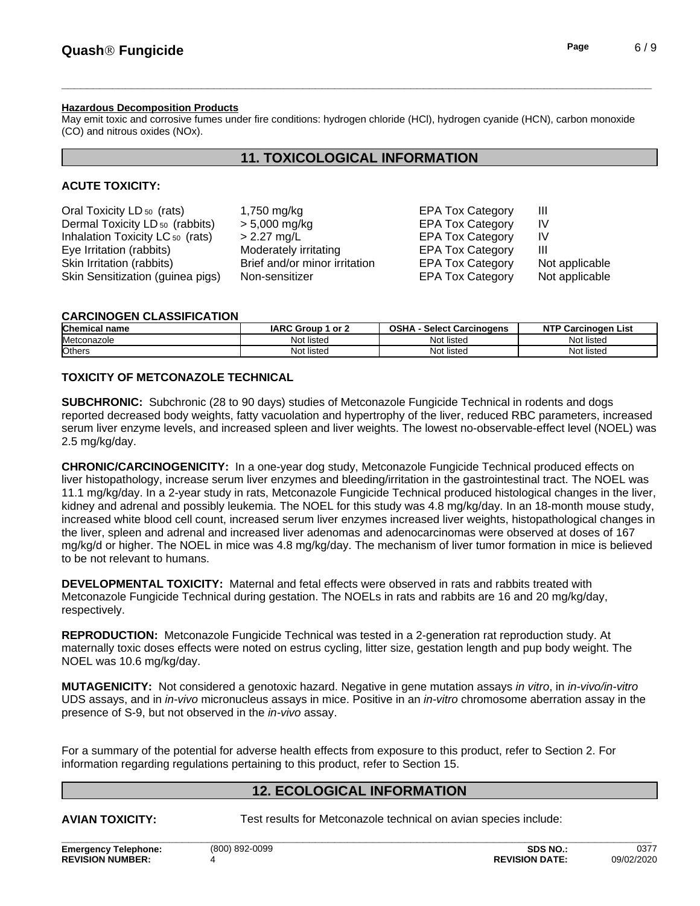# **Hazardous Decomposition Products**

May emit toxic and corrosive fumes under fire conditions: hydrogen chloride (HCl), hydrogen cyanide (HCN), carbon monoxide (CO) and nitrous oxides (NOx).

# **11. TOXICOLOGICAL INFORMATION**

# **ACUTE TOXICITY:**

| Oral Toxicity LD <sub>50</sub> (rats)       | 1,750 mg/kg                   | <b>EPA Tox Category</b> | Ш              |
|---------------------------------------------|-------------------------------|-------------------------|----------------|
| Dermal Toxicity LD <sub>50</sub> (rabbits)  | $> 5,000$ mg/kg               | <b>EPA Tox Category</b> | IV             |
| Inhalation Toxicity LC <sub>50</sub> (rats) | $> 2.27$ mg/L                 | <b>EPA Tox Category</b> | IV             |
| Eye Irritation (rabbits)                    | Moderately irritating         | <b>EPA Tox Category</b> | Ш              |
| Skin Irritation (rabbits)                   | Brief and/or minor irritation | <b>EPA Tox Category</b> | Not applicable |
| Skin Sensitization (guinea pigs)            | Non-sensitizer                | <b>EPA Tox Category</b> | Not applicable |

#### **CARCINOGEN CLASSIFICATION**

| Chemical<br>∣name | <b>IARC Group</b><br>or 2 | <b>OSHA</b><br><b>Select Carcinogens</b> | NT'<br>Carcinoɑen<br>List |
|-------------------|---------------------------|------------------------------------------|---------------------------|
| Metconazole       | Not listed                | Not listed                               | Not listed                |
| Others            | Not<br>* listec           | Not listed                               | Not listec                |

### **TOXICITY OF METCONAZOLE TECHNICAL**

**SUBCHRONIC:** Subchronic (28 to 90 days) studies of Metconazole Fungicide Technical in rodents and dogs reported decreased body weights, fatty vacuolation and hypertrophy of the liver, reduced RBC parameters, increased serum liver enzyme levels, and increased spleen and liver weights. The lowest no-observable-effect level (NOEL) was 2.5 mg/kg/day.

**CHRONIC/CARCINOGENICITY:** In a one-yeardog study, Metconazole Fungicide Technical produced effects on liver histopathology, increase serum liver enzymes and bleeding/irritation in the gastrointestinal tract. The NOEL was 11.1 mg/kg/day. In a 2-year study in rats, Metconazole Fungicide Technical produced histological changes in the liver, kidney and adrenal and possibly leukemia. The NOEL for this study was 4.8 mg/kg/day. In an 18-month mouse study, increased white blood cell count, increased serum liver enzymes increased liver weights, histopathological changes in the liver, spleen and adrenal and increased liver adenomas and adenocarcinomas were observed at doses of 167 mg/kg/d or higher. The NOEL in mice was 4.8 mg/kg/day. The mechanism of liver tumor formation in mice is believed to be not relevant to humans.

**DEVELOPMENTAL TOXICITY:** Maternal and fetal effects were observed in rats and rabbits treated with Metconazole Fungicide Technical during gestation. The NOELs in rats and rabbits are 16 and 20 mg/kg/day, respectively.

**REPRODUCTION:** Metconazole Fungicide Technical was tested in a 2-generation rat reproduction study. At maternally toxic doses effects were noted on estrus cycling, litter size, gestation length and pup body weight. The NOEL was 10.6 mg/kg/day.

**MUTAGENICITY:** Not considered a genotoxic hazard. Negative in gene mutation assays *in vitro*, in *in-vivo/in-vitro* UDS assays, and in *in-vivo* micronucleus assays in mice. Positive in an *in-vitro* chromosome aberration assay in the presence of S-9, but not observed in the *in-vivo* assay.

For a summary of the potential for adverse health effects from exposure to this product, refer to Section 2. For information regarding regulations pertaining to this product, refer to Section 15.

# **12. ECOLOGICAL INFORMATION**

**AVIAN TOXICITY:** Test results for Metconazole technical on avian species include: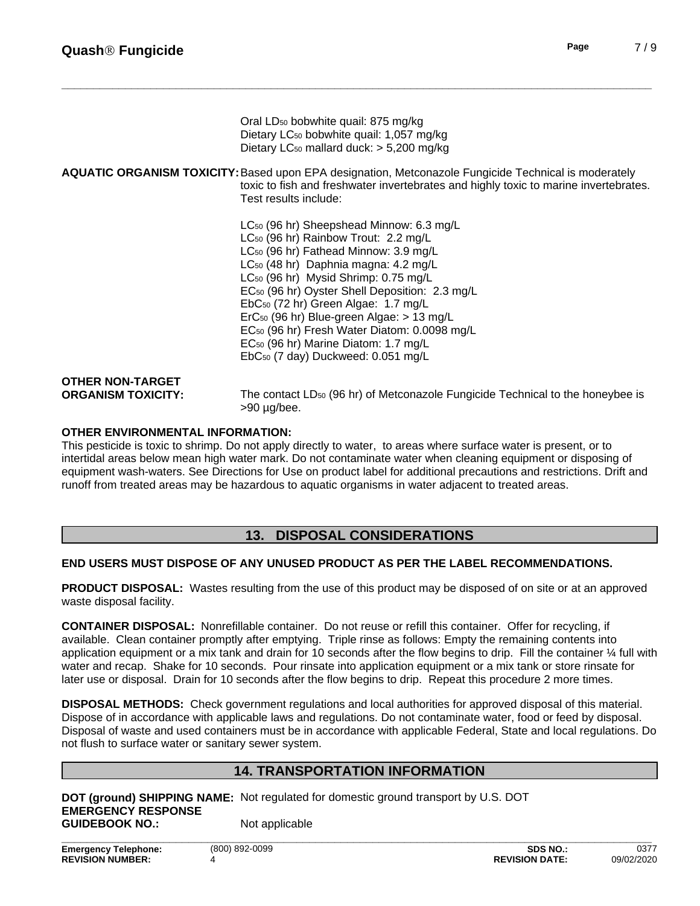| <b>Quash<sup>®</sup> Fungicide</b> |                                                                                                             | Page | 7/9 |
|------------------------------------|-------------------------------------------------------------------------------------------------------------|------|-----|
|                                    |                                                                                                             |      |     |
|                                    | Oral LD <sub>50</sub> bobwhite quail: 875 mg/kg                                                             |      |     |
|                                    | Dietary LC <sub>50</sub> bobwhite quail: 1,057 mg/kg                                                        |      |     |
|                                    | Dietary LC <sub>50</sub> mallard duck: > 5,200 mg/kg                                                        |      |     |
|                                    | <b>AQUATIC ORGANISM TOXICITY:</b> Based upon EPA designation, Metconazole Fungicide Technical is moderately |      |     |
|                                    | toxic to fish and freshwater invertebrates and highly toxic to marine invertebrates.                        |      |     |
|                                    | Test results include:                                                                                       |      |     |

LC<sub>50</sub> (96 hr) Sheepshead Minnow: 6.3 mg/L LC<sup>50</sup> (96 hr) Rainbow Trout: 2.2 mg/L LC<sub>50</sub> (96 hr) Fathead Minnow: 3.9 mg/L LC<sub>50</sub> (48 hr) Daphnia magna: 4.2 mg/L LC<sub>50</sub> (96 hr) Mysid Shrimp: 0.75 mg/L EC<sup>50</sup> (96 hr) Oyster Shell Deposition: 2.3 mg/L EbC<sup>50</sup> (72 hr) Green Algae: 1.7 mg/L ErC<sup>50</sup> (96 hr) Blue-green Algae: > 13 mg/L EC<sup>50</sup> (96 hr) Fresh Water Diatom: 0.0098 mg/L EC<sup>50</sup> (96 hr) Marine Diatom: 1.7 mg/L EbC50 (7 day) Duckweed: 0.051 mg/L

**OTHER NON-TARGET**

**ORGANISM TOXICITY:** The contact LD<sub>50</sub> (96 hr) of Metconazole Fungicide Technical to the honeybee is >90 µg/bee.

#### **OTHER ENVIRONMENTAL INFORMATION:**

This pesticide is toxic to shrimp. Do not apply directly to water, to areas where surface water is present, or to intertidal areas below mean high water mark. Do not contaminate water when cleaning equipment or disposing of equipment wash-waters. See Directions for Use on product label for additional precautions and restrictions. Drift and runoff from treated areas may be hazardous to aquatic organisms in water adjacent to treated areas.

# **13. DISPOSAL CONSIDERATIONS**

#### **END USERS MUST DISPOSE OF ANY UNUSED PRODUCT AS PER THE LABEL RECOMMENDATIONS.**

**PRODUCT DISPOSAL:** Wastes resulting from the use of this product may be disposed of on site or at an approved waste disposal facility.

**CONTAINER DISPOSAL:** Nonrefillable container. Do not reuse or refill this container. Offer for recycling, if available. Clean container promptly after emptying. Triple rinse as follows: Empty the remaining contents into application equipment or a mix tank and drain for 10 seconds after the flow begins to drip. Fill the container  $\frac{1}{4}$  full with water and recap. Shake for 10 seconds. Pour rinsate into application equipment or a mix tank or store rinsate for later use or disposal. Drain for 10 seconds after the flow begins to drip. Repeat this procedure 2 more times.

**DISPOSAL METHODS:** Check government regulations and local authorities for approved disposal of this material. Dispose of in accordance with applicable laws and regulations. Do not contaminate water, food or feed by disposal. Disposal of waste and used containers must be in accordance with applicable Federal, State and local regulations. Do not flush to surface water or sanitary sewer system.

# **14. TRANSPORTATION INFORMATION**

**DOT (ground) SHIPPING NAME:** Not regulated for domestic ground transport by U.S. DOT **EMERGENCY RESPONSE GUIDEBOOK NO.:** Not applicable **\_\_\_\_\_\_\_\_\_\_\_\_\_\_\_\_\_\_\_\_\_\_\_\_\_\_\_\_\_\_\_\_\_\_\_\_\_\_\_\_\_\_\_\_\_\_\_\_\_\_\_\_\_\_\_\_\_\_\_\_\_\_\_\_\_\_\_\_\_\_\_\_\_\_\_\_\_\_\_\_\_\_\_\_\_\_\_\_\_\_\_\_\_**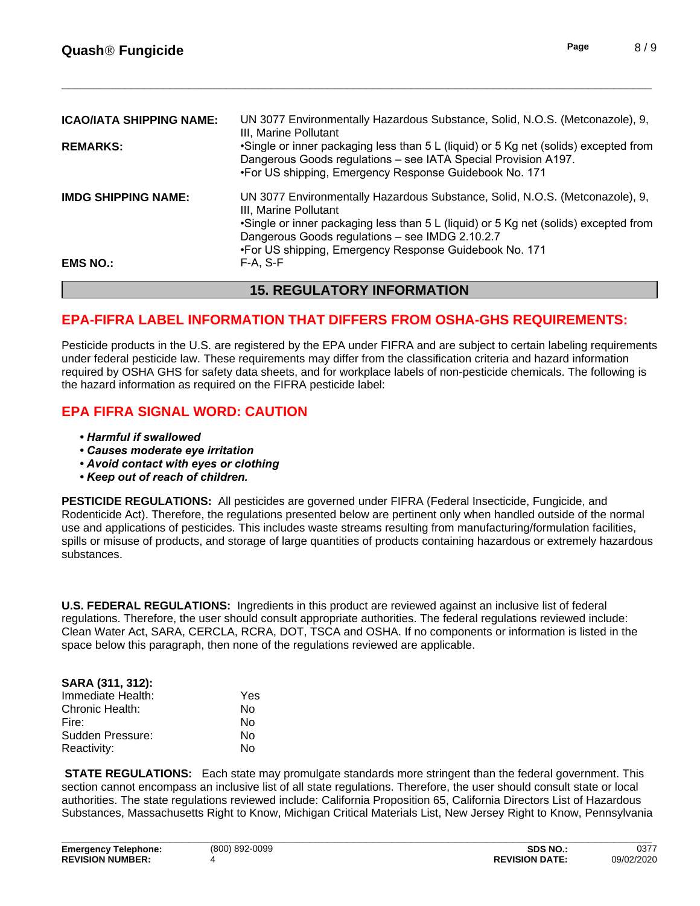|                                 | <b>15. REGULATORY INFORMATION</b>                                                                                                                                                                                |
|---------------------------------|------------------------------------------------------------------------------------------------------------------------------------------------------------------------------------------------------------------|
| <b>EMS NO.:</b>                 | F-A. S-F                                                                                                                                                                                                         |
|                                 | •Single or inner packaging less than 5 L (liquid) or 5 Kg net (solids) excepted from<br>Dangerous Goods regulations - see IMDG 2.10.2.7<br>•For US shipping, Emergency Response Guidebook No. 171                |
| <b>IMDG SHIPPING NAME:</b>      | UN 3077 Environmentally Hazardous Substance, Solid, N.O.S. (Metconazole), 9,<br>III, Marine Pollutant                                                                                                            |
| <b>REMARKS:</b>                 | •Single or inner packaging less than 5 L (liquid) or 5 Kg net (solids) excepted from<br>Dangerous Goods regulations - see IATA Special Provision A197.<br>•For US shipping, Emergency Response Guidebook No. 171 |
| <b>ICAO/IATA SHIPPING NAME:</b> | UN 3077 Environmentally Hazardous Substance, Solid, N.O.S. (Metconazole), 9,<br>III. Marine Pollutant                                                                                                            |

# **EPA-FIFRA LABEL INFORMATION THAT DIFFERS FROM OSHA-GHS REQUIREMENTS:**

Pesticide products in the U.S. are registered by the EPA under FIFRA and are subject to certain labeling requirements under federal pesticide law. These requirements may differ from the classification criteria and hazard information required by OSHA GHS for safety data sheets, and for workplace labels of non-pesticide chemicals. The following is the hazard information as required on the FIFRA pesticide label:

# **EPA FIFRA SIGNAL WORD: CAUTION**

- *•Harmfulifswallowed*
- **Causes moderate eye irritation**
- *•Avoidcontactwitheyesorclothing*
- *•Keepoutofreachofchildren.*

**PESTICIDE REGULATIONS:** All pesticides are governed under FIFRA (Federal Insecticide, Fungicide, and Rodenticide Act). Therefore, the regulations presented below are pertinent only when handled outside of the normal use and applications of pesticides. This includes waste streams resulting from manufacturing/formulation facilities, spills or misuse of products, and storage of large quantities of products containing hazardous or extremely hazardous substances.

**U.S. FEDERAL REGULATIONS:** Ingredients in this product are reviewed against an inclusive list of federal regulations. Therefore, the user should consult appropriate authorities. The federal regulations reviewed include: Clean Water Act, SARA, CERCLA, RCRA, DOT, TSCA and OSHA. If no components or information islisted in the space below this paragraph, then none of the regulations reviewed are applicable.

| SARA (311, 312):  |     |  |
|-------------------|-----|--|
| Immediate Health: | Yes |  |
| Chronic Health:   | N٥  |  |
| Fire:             | N٥  |  |
| Sudden Pressure:  | N٥  |  |
| Reactivity:       | N٥  |  |

**STATE REGULATIONS:** Each state may promulgate standards more stringent than the federal government. This section cannot encompass an inclusive list of all state regulations. Therefore, the user should consult state or local authorities. The state regulations reviewed include: California Proposition 65, California Directors List of Hazardous Substances, Massachusetts Right to Know, Michigan Critical Materials List, New Jersey Right to Know, Pennsylvania